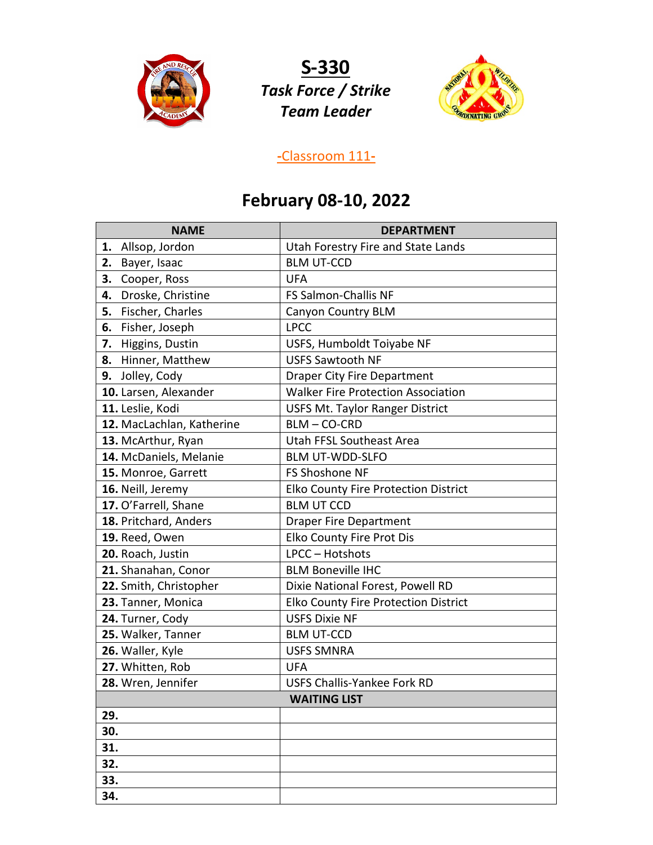

**S-330** *Task Force / Strike Team Leader*



## **-**Classroom 111**-**

## **February 08-10, 2022**

| <b>NAME</b>               | <b>DEPARTMENT</b>                         |
|---------------------------|-------------------------------------------|
| Allsop, Jordon<br>1.      | Utah Forestry Fire and State Lands        |
| 2.<br>Bayer, Isaac        | <b>BLM UT-CCD</b>                         |
| Cooper, Ross<br>3.        | <b>UFA</b>                                |
| Droske, Christine<br>4.   | FS Salmon-Challis NF                      |
| Fischer, Charles<br>5.    | <b>Canyon Country BLM</b>                 |
| Fisher, Joseph<br>6.      | <b>LPCC</b>                               |
| Higgins, Dustin<br>7.     | USFS, Humboldt Toiyabe NF                 |
| Hinner, Matthew<br>8.     | <b>USFS Sawtooth NF</b>                   |
| Jolley, Cody<br>9.        | <b>Draper City Fire Department</b>        |
| 10. Larsen, Alexander     | <b>Walker Fire Protection Association</b> |
| 11. Leslie, Kodi          | <b>USFS Mt. Taylor Ranger District</b>    |
| 12. MacLachlan, Katherine | BLM-CO-CRD                                |
| 13. McArthur, Ryan        | <b>Utah FFSL Southeast Area</b>           |
| 14. McDaniels, Melanie    | <b>BLM UT-WDD-SLFO</b>                    |
| 15. Monroe, Garrett       | FS Shoshone NF                            |
| 16. Neill, Jeremy         | Elko County Fire Protection District      |
| 17. O'Farrell, Shane      | <b>BLM UT CCD</b>                         |
| 18. Pritchard, Anders     | <b>Draper Fire Department</b>             |
| 19. Reed, Owen            | Elko County Fire Prot Dis                 |
| 20. Roach, Justin         | LPCC - Hotshots                           |
| 21. Shanahan, Conor       | <b>BLM Boneville IHC</b>                  |
| 22. Smith, Christopher    | Dixie National Forest, Powell RD          |
| 23. Tanner, Monica        | Elko County Fire Protection District      |
| 24. Turner, Cody          | <b>USFS Dixie NF</b>                      |
| 25. Walker, Tanner        | <b>BLM UT-CCD</b>                         |
| 26. Waller, Kyle          | <b>USFS SMNRA</b>                         |
| 27. Whitten, Rob          | <b>UFA</b>                                |
| 28. Wren, Jennifer        | <b>USFS Challis-Yankee Fork RD</b>        |
| <b>WAITING LIST</b>       |                                           |
| 29.                       |                                           |
| 30.                       |                                           |
| 31.                       |                                           |
| 32.                       |                                           |
| 33.                       |                                           |
| 34.                       |                                           |